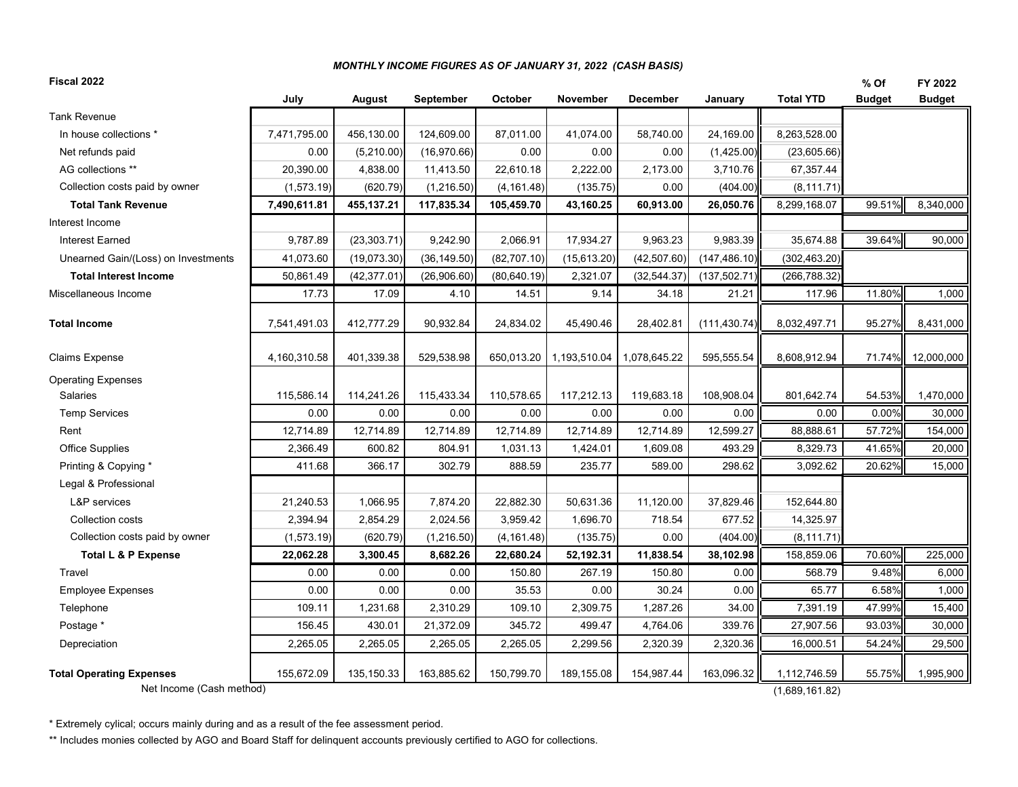## *MONTHLY INCOME FIGURES AS OF JANUARY 31, 2022 (CASH BASIS)*

| Fiscal 2022                         |              |               |              |              |              |                 |               |                  | % Of          | FY 2022       |
|-------------------------------------|--------------|---------------|--------------|--------------|--------------|-----------------|---------------|------------------|---------------|---------------|
|                                     | July         | <b>August</b> | September    | October      | November     | <b>December</b> | January       | <b>Total YTD</b> | <b>Budget</b> | <b>Budget</b> |
| <b>Tank Revenue</b>                 |              |               |              |              |              |                 |               |                  |               |               |
| In house collections *              | 7,471,795.00 | 456,130.00    | 124,609.00   | 87,011.00    | 41,074.00    | 58,740.00       | 24,169.00     | 8,263,528.00     |               |               |
| Net refunds paid                    | 0.00         | (5,210.00)    | (16,970.66)  | 0.00         | 0.00         | 0.00            | (1,425.00)    | (23,605.66)      |               |               |
| AG collections **                   | 20,390.00    | 4,838.00      | 11,413.50    | 22,610.18    | 2,222.00     | 2,173.00        | 3,710.76      | 67,357.44        |               |               |
| Collection costs paid by owner      | (1,573.19)   | (620.79)      | (1,216.50)   | (4, 161.48)  | (135.75)     | 0.00            | (404.00)      | (8, 111.71)      |               |               |
| <b>Total Tank Revenue</b>           | 7,490,611.81 | 455,137.21    | 117,835.34   | 105,459.70   | 43,160.25    | 60,913.00       | 26,050.76     | 8,299,168.07     | 99.51%        | 8,340,000     |
| Interest Income                     |              |               |              |              |              |                 |               |                  |               |               |
| <b>Interest Earned</b>              | 9,787.89     | (23, 303.71)  | 9,242.90     | 2,066.91     | 17,934.27    | 9,963.23        | 9,983.39      | 35,674.88        | 39.64%        | 90,000        |
| Unearned Gain/(Loss) on Investments | 41,073.60    | (19,073.30)   | (36, 149.50) | (82, 707.10) | (15, 613.20) | (42, 507.60)    | (147, 486.10) | (302, 463.20)    |               |               |
| <b>Total Interest Income</b>        | 50,861.49    | (42, 377.01)  | (26,906.60)  | (80, 640.19) | 2,321.07     | (32, 544.37)    | (137, 502.71) | (266, 788.32)    |               |               |
| Miscellaneous Income                | 17.73        | 17.09         | 4.10         | 14.51        | 9.14         | 34.18           | 21.21         | 117.96           | 11.80%        | 1,000         |
| <b>Total Income</b>                 | 7,541,491.03 | 412,777.29    | 90,932.84    | 24,834.02    | 45,490.46    | 28,402.81       | (111, 430.74) | 8,032,497.71     | 95.27%        | 8,431,000     |
| Claims Expense                      | 4,160,310.58 | 401,339.38    | 529,538.98   | 650,013.20   | 1,193,510.04 | 1,078,645.22    | 595,555.54    | 8,608,912.94     | 71.74%        | 12,000,000    |
| <b>Operating Expenses</b>           |              |               |              |              |              |                 |               |                  |               |               |
| Salaries                            | 115,586.14   | 114,241.26    | 115,433.34   | 110,578.65   | 117,212.13   | 119,683.18      | 108,908.04    | 801,642.74       | 54.53%        | 1,470,000     |
| <b>Temp Services</b>                | 0.00         | 0.00          | 0.00         | 0.00         | 0.00         | 0.00            | 0.00          | 0.00             | 0.00%         | 30,000        |
| Rent                                | 12,714.89    | 12,714.89     | 12,714.89    | 12,714.89    | 12,714.89    | 12,714.89       | 12,599.27     | 88,888.61        | 57.72%        | 154,000       |
| <b>Office Supplies</b>              | 2,366.49     | 600.82        | 804.91       | 1,031.13     | 1,424.01     | 1,609.08        | 493.29        | 8,329.73         | 41.65%        | 20,000        |
| Printing & Copying *                | 411.68       | 366.17        | 302.79       | 888.59       | 235.77       | 589.00          | 298.62        | 3,092.62         | 20.62%        | 15,000        |
| Legal & Professional                |              |               |              |              |              |                 |               |                  |               |               |
| <b>L&amp;P</b> services             | 21,240.53    | 1,066.95      | 7,874.20     | 22,882.30    | 50,631.36    | 11,120.00       | 37,829.46     | 152,644.80       |               |               |
| Collection costs                    | 2,394.94     | 2,854.29      | 2,024.56     | 3,959.42     | 1,696.70     | 718.54          | 677.52        | 14,325.97        |               |               |
| Collection costs paid by owner      | (1,573.19)   | (620.79)      | (1,216.50)   | (4, 161.48)  | (135.75)     | 0.00            | (404.00)      | (8, 111.71)      |               |               |
| Total L & P Expense                 | 22,062.28    | 3,300.45      | 8,682.26     | 22,680.24    | 52,192.31    | 11,838.54       | 38,102.98     | 158,859.06       | 70.60%        | 225,000       |
| Travel                              | 0.00         | 0.00          | 0.00         | 150.80       | 267.19       | 150.80          | 0.00          | 568.79           | 9.48%         | 6,000         |
| <b>Employee Expenses</b>            | 0.00         | 0.00          | 0.00         | 35.53        | 0.00         | 30.24           | 0.00          | 65.77            | 6.58%         | 1,000         |
| Telephone                           | 109.11       | 1,231.68      | 2,310.29     | 109.10       | 2,309.75     | 1,287.26        | 34.00         | 7,391.19         | 47.99%        | 15,400        |
| Postage *                           | 156.45       | 430.01        | 21,372.09    | 345.72       | 499.47       | 4,764.06        | 339.76        | 27,907.56        | 93.03%        | 30,000        |
| Depreciation                        | 2,265.05     | 2,265.05      | 2,265.05     | 2,265.05     | 2,299.56     | 2,320.39        | 2,320.36      | 16,000.51        | 54.24%        | 29,500        |
| <b>Total Operating Expenses</b>     | 155,672.09   | 135, 150. 33  | 163,885.62   | 150,799.70   | 189,155.08   | 154,987.44      | 163,096.32    | 1,112,746.59     | 55.75%        | 1,995,900     |
| Net Income (Cash method)            |              |               |              |              |              |                 |               | (1,689,161.82)   |               |               |

\* Extremely cylical; occurs mainly during and as a result of the fee assessment period.

\*\* Includes monies collected by AGO and Board Staff for delinquent accounts previously certified to AGO for collections.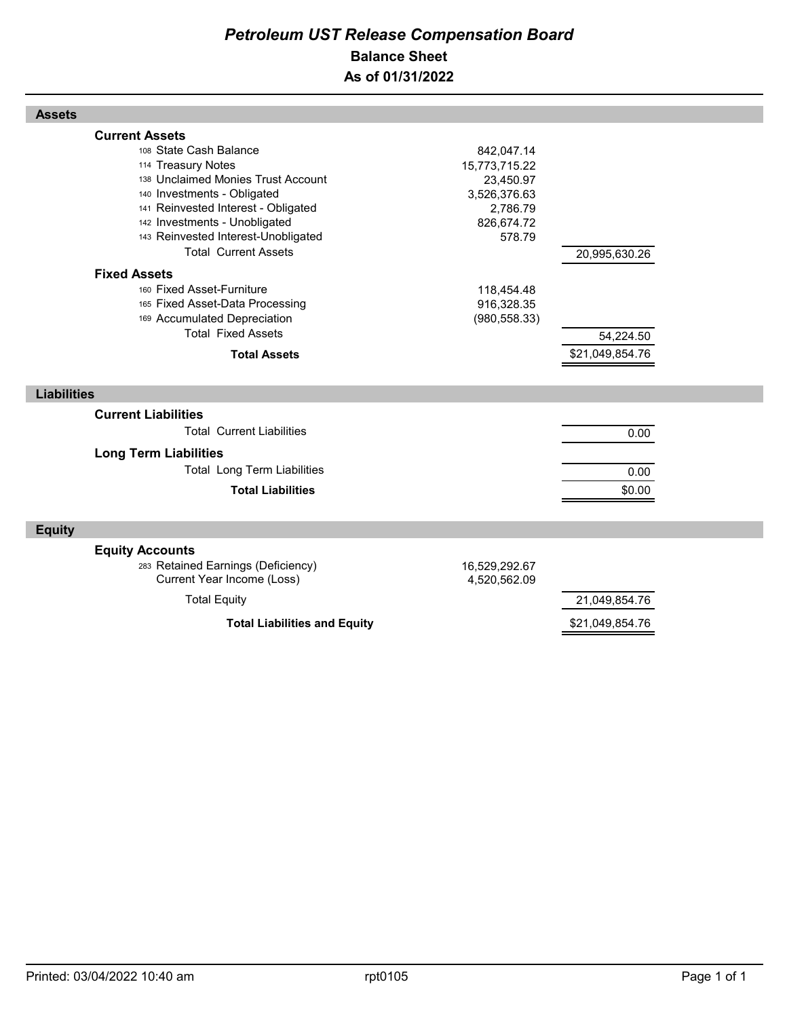## *Petroleum UST Release Compensation Board*  **Balance Sheet As of 01/31/2022**

| <b>Assets</b>                                                                                                                                                                                                                                                                                                   |                                                                                              |                 |  |
|-----------------------------------------------------------------------------------------------------------------------------------------------------------------------------------------------------------------------------------------------------------------------------------------------------------------|----------------------------------------------------------------------------------------------|-----------------|--|
| <b>Current Assets</b><br>108 State Cash Balance<br>114 Treasury Notes<br>138 Unclaimed Monies Trust Account<br>140 Investments - Obligated<br>141 Reinvested Interest - Obligated<br>142 Investments - Unobligated<br>143 Reinvested Interest-Unobligated<br><b>Total Current Assets</b><br><b>Fixed Assets</b> | 842,047.14<br>15,773,715.22<br>23,450.97<br>3,526,376.63<br>2,786.79<br>826,674.72<br>578.79 | 20,995,630.26   |  |
| 160 Fixed Asset-Furniture                                                                                                                                                                                                                                                                                       | 118,454.48                                                                                   |                 |  |
| 165 Fixed Asset-Data Processing                                                                                                                                                                                                                                                                                 | 916,328.35                                                                                   |                 |  |
| 169 Accumulated Depreciation<br><b>Total Fixed Assets</b>                                                                                                                                                                                                                                                       | (980, 558.33)                                                                                |                 |  |
|                                                                                                                                                                                                                                                                                                                 |                                                                                              | 54,224.50       |  |
| <b>Total Assets</b>                                                                                                                                                                                                                                                                                             |                                                                                              | \$21,049,854.76 |  |
|                                                                                                                                                                                                                                                                                                                 |                                                                                              |                 |  |
| <b>Liabilities</b>                                                                                                                                                                                                                                                                                              |                                                                                              |                 |  |
| <b>Current Liabilities</b>                                                                                                                                                                                                                                                                                      |                                                                                              |                 |  |
| <b>Total Current Liabilities</b>                                                                                                                                                                                                                                                                                |                                                                                              | 0.00            |  |
|                                                                                                                                                                                                                                                                                                                 |                                                                                              |                 |  |
| <b>Long Term Liabilities</b><br><b>Total Long Term Liabilities</b>                                                                                                                                                                                                                                              |                                                                                              |                 |  |
|                                                                                                                                                                                                                                                                                                                 |                                                                                              | 0.00            |  |
| <b>Total Liabilities</b>                                                                                                                                                                                                                                                                                        |                                                                                              | \$0.00          |  |
| <b>Equity</b>                                                                                                                                                                                                                                                                                                   |                                                                                              |                 |  |
| <b>Equity Accounts</b><br>283 Retained Earnings (Deficiency)<br>Current Year Income (Loss)                                                                                                                                                                                                                      | 16,529,292.67<br>4,520,562.09                                                                |                 |  |
| <b>Total Equity</b>                                                                                                                                                                                                                                                                                             |                                                                                              | 21,049,854.76   |  |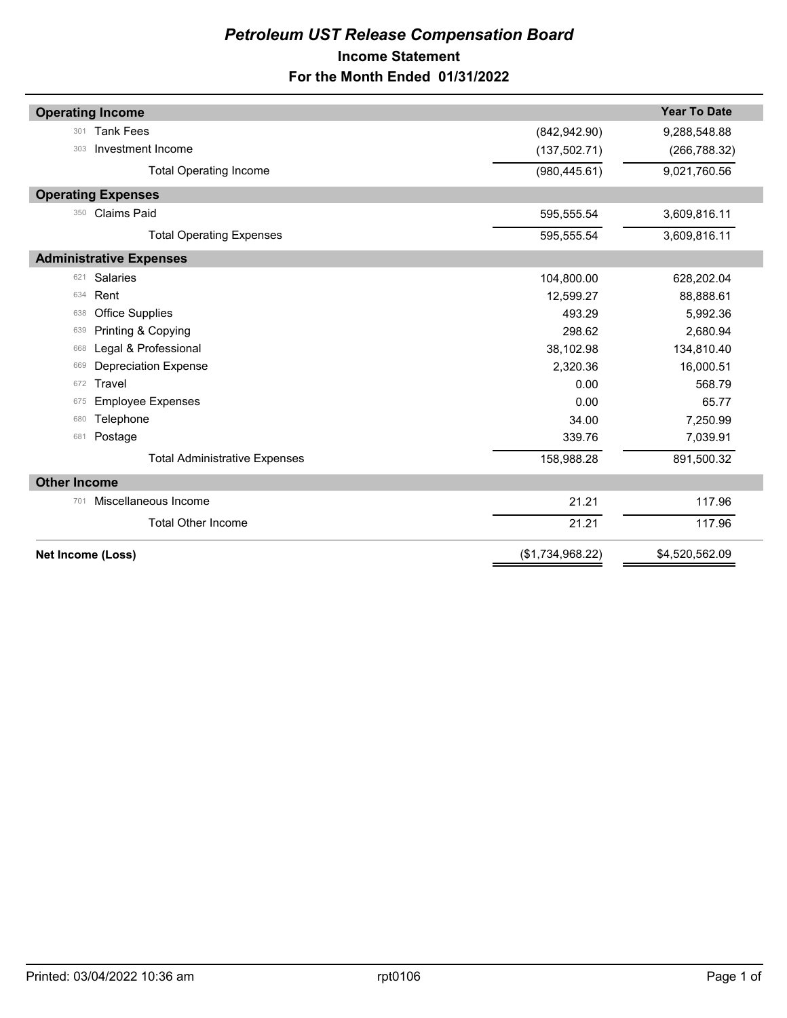## *Petroleum UST Release Compensation Board*  **Income Statement For the Month Ended 01/31/2022**

| <b>Operating Income</b>              |                  | <b>Year To Date</b> |  |  |  |  |
|--------------------------------------|------------------|---------------------|--|--|--|--|
| <b>Tank Fees</b><br>301              | (842, 942.90)    | 9,288,548.88        |  |  |  |  |
| Investment Income<br>303             | (137, 502.71)    | (266, 788.32)       |  |  |  |  |
|                                      |                  |                     |  |  |  |  |
| <b>Total Operating Income</b>        | (980, 445.61)    | 9,021,760.56        |  |  |  |  |
| <b>Operating Expenses</b>            |                  |                     |  |  |  |  |
| <b>Claims Paid</b><br>350            | 595,555.54       | 3,609,816.11        |  |  |  |  |
| <b>Total Operating Expenses</b>      | 595,555.54       | 3,609,816.11        |  |  |  |  |
| <b>Administrative Expenses</b>       |                  |                     |  |  |  |  |
| <b>Salaries</b><br>621               | 104,800.00       | 628,202.04          |  |  |  |  |
| Rent<br>634                          | 12,599.27        | 88,888.61           |  |  |  |  |
| <b>Office Supplies</b><br>638        | 493.29           | 5,992.36            |  |  |  |  |
| Printing & Copying<br>639            | 298.62           | 2,680.94            |  |  |  |  |
| Legal & Professional<br>668          | 38,102.98        | 134,810.40          |  |  |  |  |
| Depreciation Expense<br>669          | 2,320.36         | 16,000.51           |  |  |  |  |
| Travel<br>672                        | 0.00             | 568.79              |  |  |  |  |
| <b>Employee Expenses</b><br>675      | 0.00             | 65.77               |  |  |  |  |
| Telephone<br>680                     | 34.00            | 7,250.99            |  |  |  |  |
| Postage<br>681                       | 339.76           | 7,039.91            |  |  |  |  |
| <b>Total Administrative Expenses</b> | 158,988.28       | 891,500.32          |  |  |  |  |
| <b>Other Income</b>                  |                  |                     |  |  |  |  |
| Miscellaneous Income<br>701          | 21.21            | 117.96              |  |  |  |  |
| <b>Total Other Income</b>            | 21.21            | 117.96              |  |  |  |  |
| Net Income (Loss)                    | (\$1,734,968.22) | \$4,520,562.09      |  |  |  |  |